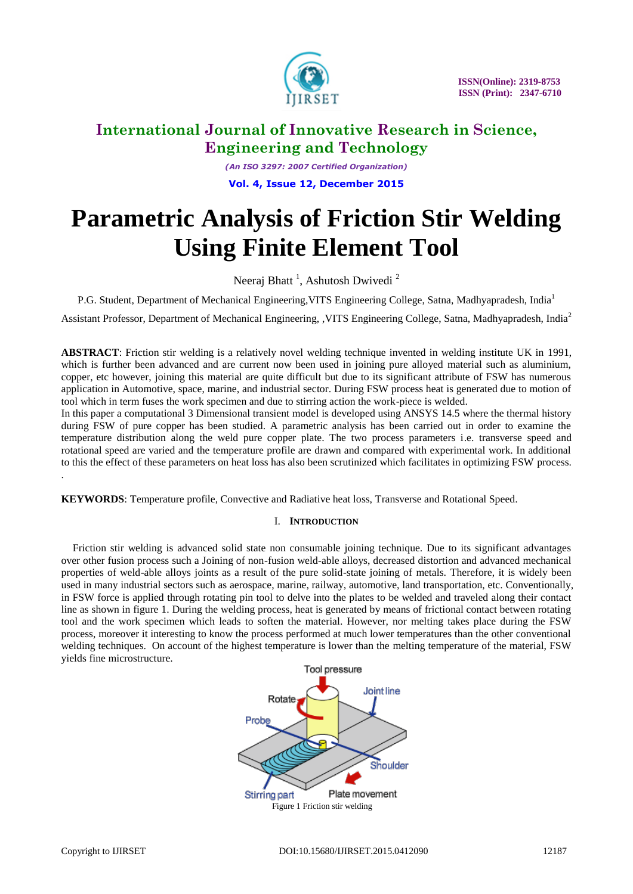

*(An ISO 3297: 2007 Certified Organization)* **Vol. 4, Issue 12, December 2015**

# **Parametric Analysis of Friction Stir Welding Using Finite Element Tool**

Neeraj Bhatt<sup>1</sup>, Ashutosh Dwivedi<sup>2</sup>

P.G. Student, Department of Mechanical Engineering, VITS Engineering College, Satna, Madhyapradesh, India<sup>1</sup>

Assistant Professor, Department of Mechanical Engineering, ,VITS Engineering College, Satna, Madhyapradesh, India<sup>2</sup>

**ABSTRACT**: Friction stir welding is a relatively novel welding technique invented in welding institute UK in 1991, which is further been advanced and are current now been used in joining pure alloyed material such as aluminium, copper, etc however, joining this material are quite difficult but due to its significant attribute of FSW has numerous application in Automotive, space, marine, and industrial sector. During FSW process heat is generated due to motion of tool which in term fuses the work specimen and due to stirring action the work-piece is welded.

In this paper a computational 3 Dimensional transient model is developed using ANSYS 14.5 where the thermal history during FSW of pure copper has been studied. A parametric analysis has been carried out in order to examine the temperature distribution along the weld pure copper plate. The two process parameters i.e. transverse speed and rotational speed are varied and the temperature profile are drawn and compared with experimental work. In additional to this the effect of these parameters on heat loss has also been scrutinized which facilitates in optimizing FSW process. .

**KEYWORDS**: Temperature profile, Convective and Radiative heat loss, Transverse and Rotational Speed.

### I. **INTRODUCTION**

Friction stir welding is advanced solid state non consumable joining technique. Due to its significant advantages over other fusion process such a Joining of non-fusion weld-able alloys, decreased distortion and advanced mechanical properties of weld-able alloys joints as a result of the pure solid-state joining of metals. Therefore, it is widely been used in many industrial sectors such as aerospace, marine, railway, automotive, land transportation, etc. Conventionally, in FSW force is applied through rotating pin tool to delve into the plates to be welded and traveled along their contact line as shown in figure 1. During the welding process, heat is generated by means of frictional contact between rotating tool and the work specimen which leads to soften the material. However, nor melting takes place during the FSW process, moreover it interesting to know the process performed at much lower temperatures than the other conventional welding techniques. On account of the highest temperature is lower than the melting temperature of the material, FSW yields fine microstructure.

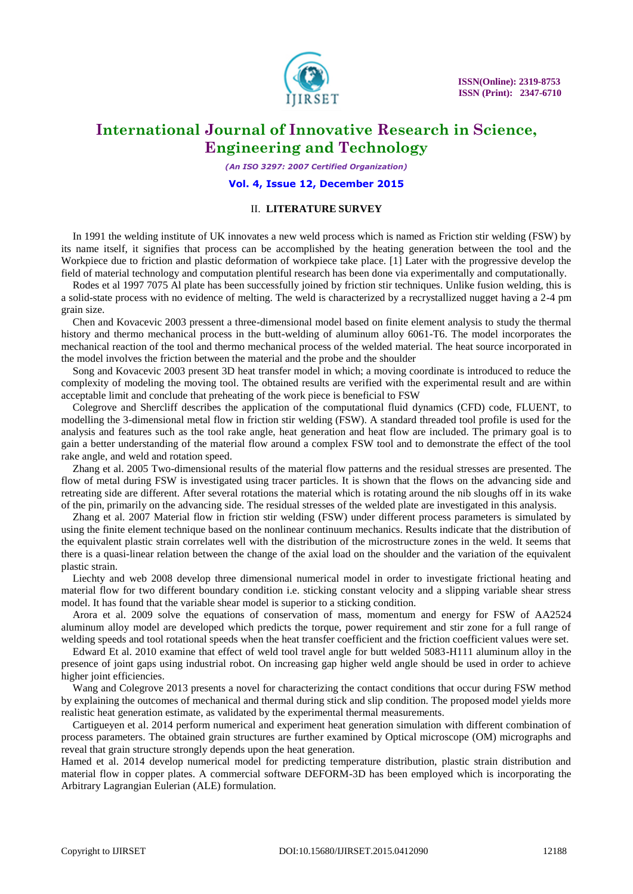

*(An ISO 3297: 2007 Certified Organization)*

#### **Vol. 4, Issue 12, December 2015**

### II. **LITERATURE SURVEY**

In 1991 the welding institute of UK innovates a new weld process which is named as Friction stir welding (FSW) by its name itself, it signifies that process can be accomplished by the heating generation between the tool and the Workpiece due to friction and plastic deformation of workpiece take place. [1] Later with the progressive develop the field of material technology and computation plentiful research has been done via experimentally and computationally.

Rodes et al 1997 7075 Al plate has been successfully joined by friction stir techniques. Unlike fusion welding, this is a solid-state process with no evidence of melting. The weld is characterized by a recrystallized nugget having a 2-4 pm grain size.

Chen and Kovacevic 2003 pressent a three-dimensional model based on finite element analysis to study the thermal history and thermo mechanical process in the butt-welding of aluminum alloy 6061-T6. The model incorporates the mechanical reaction of the tool and thermo mechanical process of the welded material. The heat source incorporated in the model involves the friction between the material and the probe and the shoulder

Song and Kovacevic 2003 present 3D heat transfer model in which; a moving coordinate is introduced to reduce the complexity of modeling the moving tool. The obtained results are verified with the experimental result and are within acceptable limit and conclude that preheating of the work piece is beneficial to FSW

Colegrove and Shercliff describes the application of the computational fluid dynamics (CFD) code, FLUENT, to modelling the 3-dimensional metal flow in friction stir welding (FSW). A standard threaded tool profile is used for the analysis and features such as the tool rake angle, heat generation and heat flow are included. The primary goal is to gain a better understanding of the material flow around a complex FSW tool and to demonstrate the effect of the tool rake angle, and weld and rotation speed.

Zhang et al. 2005 Two-dimensional results of the material flow patterns and the residual stresses are presented. The flow of metal during FSW is investigated using tracer particles. It is shown that the flows on the advancing side and retreating side are different. After several rotations the material which is rotating around the nib sloughs off in its wake of the pin, primarily on the advancing side. The residual stresses of the welded plate are investigated in this analysis.

Zhang et al. 2007 Material flow in friction stir welding (FSW) under different process parameters is simulated by using the finite element technique based on the nonlinear continuum mechanics. Results indicate that the distribution of the equivalent plastic strain correlates well with the distribution of the microstructure zones in the weld. It seems that there is a quasi-linear relation between the change of the axial load on the shoulder and the variation of the equivalent plastic strain.

Liechty and web 2008 develop three dimensional numerical model in order to investigate frictional heating and material flow for two different boundary condition i.e. sticking constant velocity and a slipping variable shear stress model. It has found that the variable shear model is superior to a sticking condition.

Arora et al. 2009 solve the equations of conservation of mass, momentum and energy for FSW of AA2524 aluminum alloy model are developed which predicts the torque, power requirement and stir zone for a full range of welding speeds and tool rotational speeds when the heat transfer coefficient and the friction coefficient values were set.

Edward Et al. 2010 examine that effect of weld tool travel angle for butt welded 5083-H111 aluminum alloy in the presence of joint gaps using industrial robot. On increasing gap higher weld angle should be used in order to achieve higher joint efficiencies.

Wang and Colegrove 2013 presents a novel for characterizing the contact conditions that occur during FSW method by explaining the outcomes of mechanical and thermal during stick and slip condition. The proposed model yields more realistic heat generation estimate, as validated by the experimental thermal measurements.

Cartigueyen et al. 2014 perform numerical and experiment heat generation simulation with different combination of process parameters. The obtained grain structures are further examined by Optical microscope (OM) micrographs and reveal that grain structure strongly depends upon the heat generation.

Hamed et al. 2014 develop numerical model for predicting temperature distribution, plastic strain distribution and material flow in copper plates. A commercial software DEFORM-3D has been employed which is incorporating the Arbitrary Lagrangian Eulerian (ALE) formulation.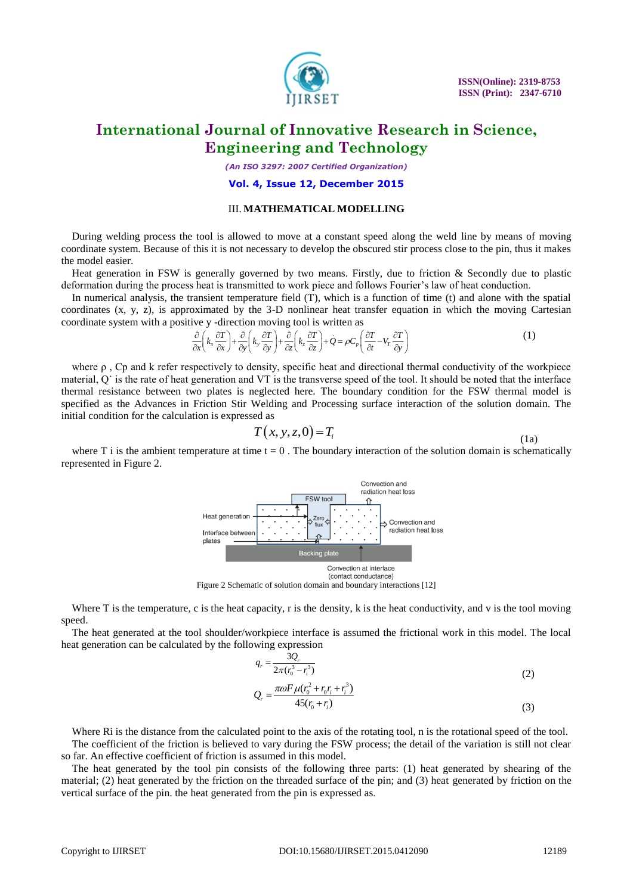

*(An ISO 3297: 2007 Certified Organization)*

#### **Vol. 4, Issue 12, December 2015**

### III. **MATHEMATICAL MODELLING**

During welding process the tool is allowed to move at a constant speed along the weld line by means of moving coordinate system. Because of this it is not necessary to develop the obscured stir process close to the pin, thus it makes the model easier.

Heat generation in FSW is generally governed by two means. Firstly, due to friction & Secondly due to plastic deformation during the process heat is transmitted to work piece and follows Fourier's law of heat conduction.

In numerical analysis, the transient temperature field (T), which is a function of time (t) and alone with the spatial coordinates (x, y, z), is approximated by the 3-D nonlinear heat transfer equation in which the moving Cartesian coordinate system with a positive y -direction moving tool is written as  $\frac{\partial}{\partial x} \left(k_x \frac{\partial T}{\partial x}\right) + \frac{\partial}{\partial y$ coordinate system with a positive y -direction moving tool is written as

Daximated by the 3-D nonlinear heat transfer equation in which the moving C  
ive y-direction moving tool is written as  

$$
\frac{\partial}{\partial x} \left( k_x \frac{\partial T}{\partial x} \right) + \frac{\partial}{\partial y} \left( k_y \frac{\partial T}{\partial y} \right) + \frac{\partial}{\partial z} \left( k_z \frac{\partial T}{\partial z} \right) + \dot{Q} = \rho C_p \left( \frac{\partial T}{\partial t} - V_r \frac{\partial T}{\partial y} \right)
$$
(1)

where  $\rho$ , Cp and k refer respectively to density, specific heat and directional thermal conductivity of the workpiece material, Q˙ is the rate of heat generation and VT is the transverse speed of the tool. It should be noted that the interface thermal resistance between two plates is neglected here. The boundary condition for the FSW thermal model is specified as the Advances in Friction Stir Welding and Processing surface interaction of the solution domain. The initial condition for the calculation is expressed as

$$
T(x, y, z, 0) = Ti
$$
 (1a)

where T i is the ambient temperature at time  $t = 0$ . The boundary interaction of the solution domain is schematically represented in Figure 2.



Figure 2 Schematic of solution domain and boundary interactions [12]

Where T is the temperature, c is the heat capacity, r is the density, k is the heat conductivity, and v is the tool moving speed.

The heat generated at the tool shoulder/workpiece interface is assumed the frictional work in this model. The local heat generation can be calculated by the following expression

$$
q_r = \frac{3Q_r}{2\pi (r_0^3 - r_i^3)}
$$
  
\n
$$
Q_r = \frac{\pi \omega F \mu (r_0^2 + r_0 r_i + r_i^3)}{45(r_0 + r_i)}
$$
\n(3)

Where Ri is the distance from the calculated point to the axis of the rotating tool, n is the rotational speed of the tool. The coefficient of the friction is believed to vary during the FSW process; the detail of the variation is still not clear so far. An effective coefficient of friction is assumed in this model.

The heat generated by the tool pin consists of the following three parts: (1) heat generated by shearing of the material; (2) heat generated by the friction on the threaded surface of the pin; and (3) heat generated by friction on the vertical surface of the pin. the heat generated from the pin is expressed as.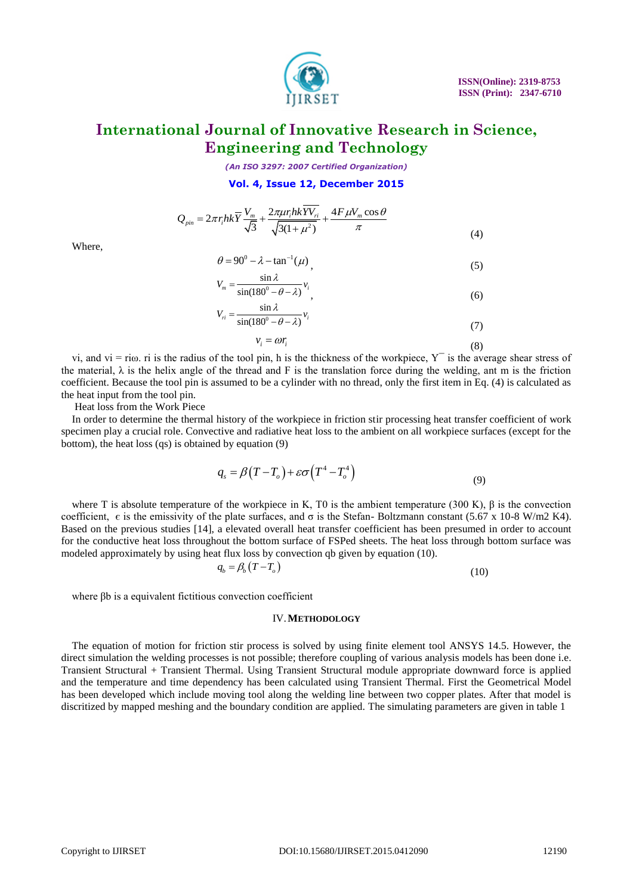

*(An ISO 3297: 2007 Certified Organization)*

#### **Vol. 4, Issue 12, December 2015**

$$
Q_{pin} = 2\pi r_i h k \overline{Y} \frac{V_m}{\sqrt{3}} + \frac{2\pi \mu r_i h k \overline{Y} V_{ri}}{\sqrt{3(1 + \mu^2)}} + \frac{4F \mu V_m \cos \theta}{\pi}
$$
(4)

Where,

$$
\theta = 90^0 - \lambda - \tan^{-1}(\mu) \tag{5}
$$

$$
V_m = \frac{\sin \lambda}{\sin(180^\circ - \theta - \lambda)} v_i
$$
  

$$
V_n = \frac{\sin \lambda}{\sin(180^\circ - \theta - \lambda)} v_i
$$
 (6)

$$
v_i = \frac{\sin \lambda}{\sin(180^\circ - \theta - \lambda)} v_i
$$
  

$$
v_i = \omega r_i
$$
 (3)

vi, and vi = ri $\omega$ . ri is the radius of the tool pin, h is the thickness of the workpiece,  $Y^-$  is the average shear stress of the material,  $\lambda$  is the helix angle of the thread and F is the translation force during the welding, ant m is the friction coefficient. Because the tool pin is assumed to be a cylinder with no thread, only the first item in Eq. (4) is calculated as the heat input from the tool pin.

Heat loss from the Work Piece

In order to determine the thermal history of the workpiece in friction stir processing heat transfer coefficient of work specimen play a crucial role. Convective and radiative heat loss to the ambient on all workpiece surfaces (except for the bottom), the heat loss (qs) is obtained by equation (9)

$$
q_s = \beta (T - T_o) + \varepsilon \sigma (T^4 - T_o^4) \tag{9}
$$

where T is absolute temperature of the workpiece in K, T0 is the ambient temperature (300 K),  $\beta$  is the convection coefficient,  $ε$  is the emissivity of the plate surfaces, and  $σ$  is the Stefan-Boltzmann constant (5.67 x 10-8 W/m2 K4). Based on the previous studies [14], a elevated overall heat transfer coefficient has been presumed in order to account for the conductive heat loss throughout the bottom surface of FSPed sheets. The heat loss through bottom surface was modeled approximately by using heat flux loss by convection qb given by equation (10).

$$
q_b = \beta_b \left( T - T_o \right) \tag{10}
$$

where βb is a equivalent fictitious convection coefficient

#### IV.**METHODOLOGY**

The equation of motion for friction stir process is solved by using finite element tool ANSYS 14.5. However, the direct simulation the welding processes is not possible; therefore coupling of various analysis models has been done i.e. Transient Structural + Transient Thermal. Using Transient Structural module appropriate downward force is applied and the temperature and time dependency has been calculated using Transient Thermal. First the Geometrical Model has been developed which include moving tool along the welding line between two copper plates. After that model is discritized by mapped meshing and the boundary condition are applied. The simulating parameters are given in table 1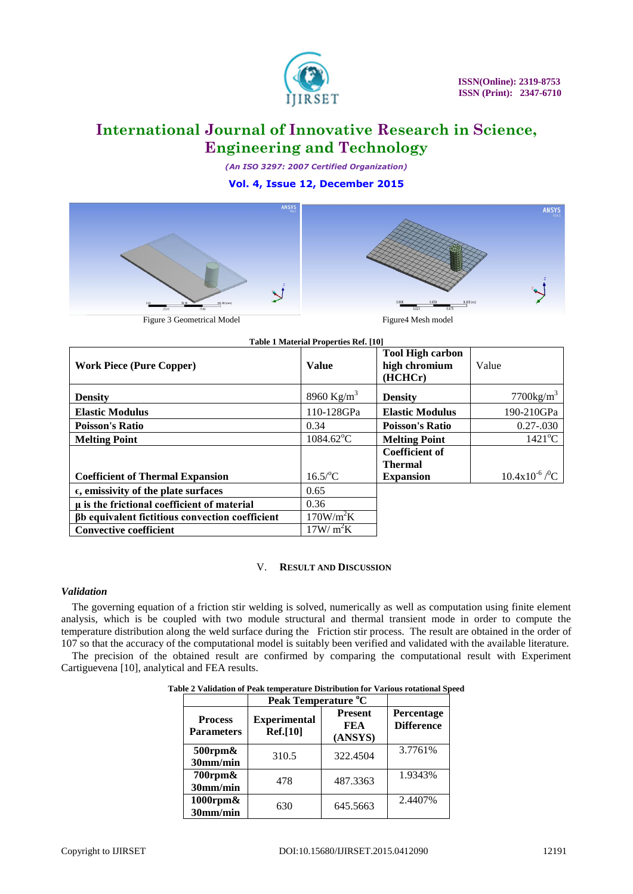

*(An ISO 3297: 2007 Certified Organization)*

### **Vol. 4, Issue 12, December 2015**





| Table 1 Material Properties Ref. [10]           |                        |                                                     |                                 |  |  |  |
|-------------------------------------------------|------------------------|-----------------------------------------------------|---------------------------------|--|--|--|
| <b>Work Piece (Pure Copper)</b>                 | <b>Value</b>           | <b>Tool High carbon</b><br>high chromium<br>(HCHCr) | Value                           |  |  |  |
| <b>Density</b>                                  | 8960 Kg/m <sup>3</sup> | <b>Density</b>                                      | $7700$ kg/m <sup>3</sup>        |  |  |  |
| <b>Elastic Modulus</b>                          | 110-128GPa             | <b>Elastic Modulus</b>                              | 190-210GPa                      |  |  |  |
| <b>Poisson's Ratio</b>                          | 0.34                   | <b>Poisson's Ratio</b>                              | $0.27 - 0.030$                  |  |  |  |
| <b>Melting Point</b>                            | $1084.62^{\circ}$ C    | <b>Melting Point</b>                                | $1421^{\circ}$ C                |  |  |  |
|                                                 |                        | <b>Coefficient of</b>                               |                                 |  |  |  |
|                                                 |                        | <b>Thermal</b>                                      |                                 |  |  |  |
| <b>Coefficient of Thermal Expansion</b>         | $16.5$ /°C             | <b>Expansion</b>                                    | $10.4x10^{-6}$ / <sup>0</sup> C |  |  |  |
| $\epsilon$ , emissivity of the plate surfaces   | 0.65                   |                                                     |                                 |  |  |  |
| µ is the frictional coefficient of material     | 0.36                   |                                                     |                                 |  |  |  |
| βb equivalent fictitious convection coefficient | 170W/m <sup>2</sup> K  |                                                     |                                 |  |  |  |
| <b>Convective coefficient</b>                   | $17W/m^2K$             |                                                     |                                 |  |  |  |

### V. **RESULT AND DISCUSSION**

#### *Validation*

The governing equation of a friction stir welding is solved, numerically as well as computation using finite element analysis, which is be coupled with two module structural and thermal transient mode in order to compute the temperature distribution along the weld surface during the Friction stir process. The result are obtained in the order of 107 so that the accuracy of the computational model is suitably been verified and validated with the available literature.

The precision of the obtained result are confirmed by comparing the computational result with Experiment Cartiguevena [10], analytical and FEA results.

| Table 2 Validation of Peak temperature Distribution for Various rotational Speed |  |  |  |
|----------------------------------------------------------------------------------|--|--|--|
|                                                                                  |  |  |  |

|                                     | Peak Temperature °C                    |                                  |                                 |
|-------------------------------------|----------------------------------------|----------------------------------|---------------------------------|
| <b>Process</b><br><b>Parameters</b> | <b>Experimental</b><br><b>Ref.[10]</b> | <b>Present</b><br>FEA<br>(ANSYS) | Percentage<br><b>Difference</b> |
| $500$ rpm $\&$<br>30mm/min          | 310.5                                  | 322.4504                         | 3.7761%                         |
| $700$ rpm $\&$<br>30mm/min          | 478                                    | 487.3363                         | 1.9343%                         |
| $1000$ rpm $\&$<br>30mm/min         | 630                                    | 645.5663                         | 2.4407%                         |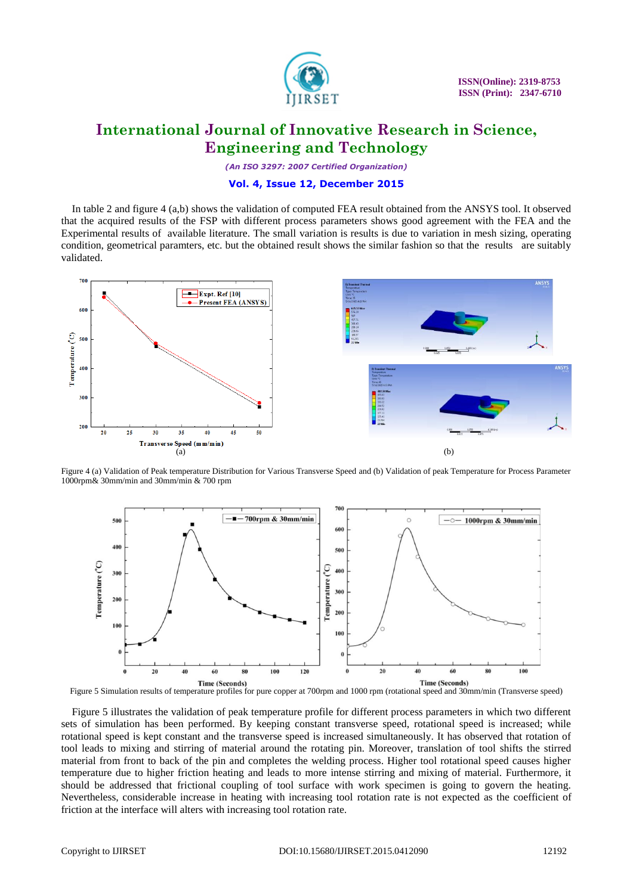

*(An ISO 3297: 2007 Certified Organization)*

#### **Vol. 4, Issue 12, December 2015**

In table 2 and figure 4 (a,b) shows the validation of computed FEA result obtained from the ANSYS tool. It observed that the acquired results of the FSP with different process parameters shows good agreement with the FEA and the Experimental results of available literature. The small variation is results is due to variation in mesh sizing, operating condition, geometrical paramters, etc. but the obtained result shows the similar fashion so that the results are suitably validated.



Figure 4 (a) Validation of Peak temperature Distribution for Various Transverse Speed and (b) Validation of peak Temperature for Process Parameter 1000rpm& 30mm/min and 30mm/min & 700 rpm



Figure 5 Simulation results of temperature profiles for pure copper at 700rpm and 1000 rpm (rotational speed and 30mm/min (Transverse speed)

Figure 5 illustrates the validation of peak temperature profile for different process parameters in which two different sets of simulation has been performed. By keeping constant transverse speed, rotational speed is increased; while rotational speed is kept constant and the transverse speed is increased simultaneously. It has observed that rotation of tool leads to mixing and stirring of material around the rotating pin. Moreover, translation of tool shifts the stirred material from front to back of the pin and completes the welding process. Higher tool rotational speed causes higher temperature due to higher friction heating and leads to more intense stirring and mixing of material. Furthermore, it should be addressed that frictional coupling of tool surface with work specimen is going to govern the heating. Nevertheless, considerable increase in heating with increasing tool rotation rate is not expected as the coefficient of friction at the interface will alters with increasing tool rotation rate.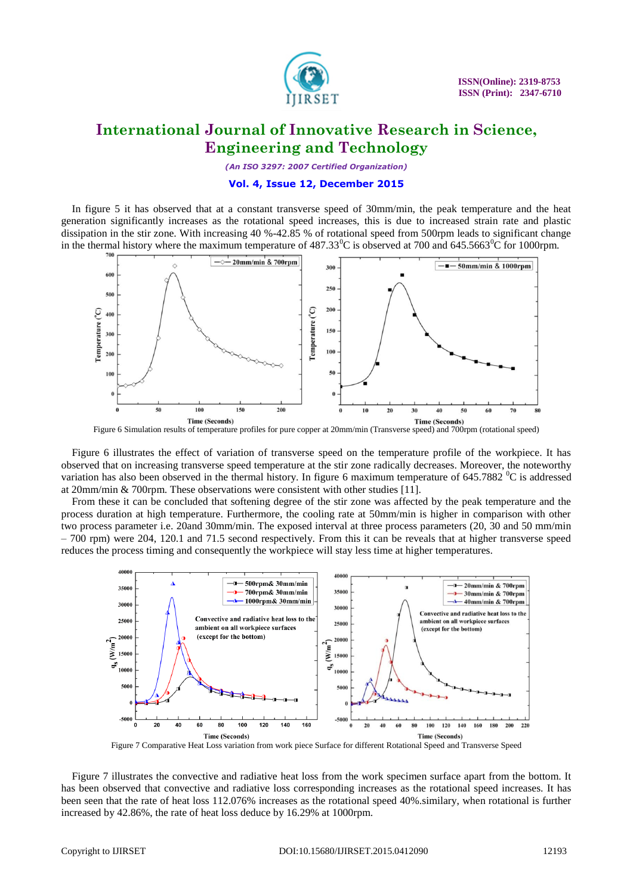

*(An ISO 3297: 2007 Certified Organization)*

#### **Vol. 4, Issue 12, December 2015**

In figure 5 it has observed that at a constant transverse speed of 30mm/min, the peak temperature and the heat generation significantly increases as the rotational speed increases, this is due to increased strain rate and plastic dissipation in the stir zone. With increasing 40 %-42.85 % of rotational speed from 500rpm leads to significant change in the thermal history where the maximum temperature of  $487.33^{\circ}$ C is observed at 700 and  $645.5663^{\circ}$ C for 1000rpm.



Figure 6 Simulation results of temperature profiles for pure copper at 20mm/min (Transverse speed) and 700rpm (rotational speed)

Figure 6 illustrates the effect of variation of transverse speed on the temperature profile of the workpiece. It has observed that on increasing transverse speed temperature at the stir zone radically decreases. Moreover, the noteworthy variation has also been observed in the thermal history. In figure 6 maximum temperature of  $645.7882 \degree C$  is addressed at 20mm/min & 700rpm. These observations were consistent with other studies [11].

From these it can be concluded that softening degree of the stir zone was affected by the peak temperature and the process duration at high temperature. Furthermore, the cooling rate at 50mm/min is higher in comparison with other two process parameter i.e. 20and 30mm/min. The exposed interval at three process parameters (20, 30 and 50 mm/min – 700 rpm) were 204, 120.1 and 71.5 second respectively. From this it can be reveals that at higher transverse speed reduces the process timing and consequently the workpiece will stay less time at higher temperatures.



Figure 7 Comparative Heat Loss variation from work piece Surface for different Rotational Speed and Transverse Speed

Figure 7 illustrates the convective and radiative heat loss from the work specimen surface apart from the bottom. It has been observed that convective and radiative loss corresponding increases as the rotational speed increases. It has been seen that the rate of heat loss 112.076% increases as the rotational speed 40%.similary, when rotational is further increased by 42.86%, the rate of heat loss deduce by 16.29% at 1000rpm.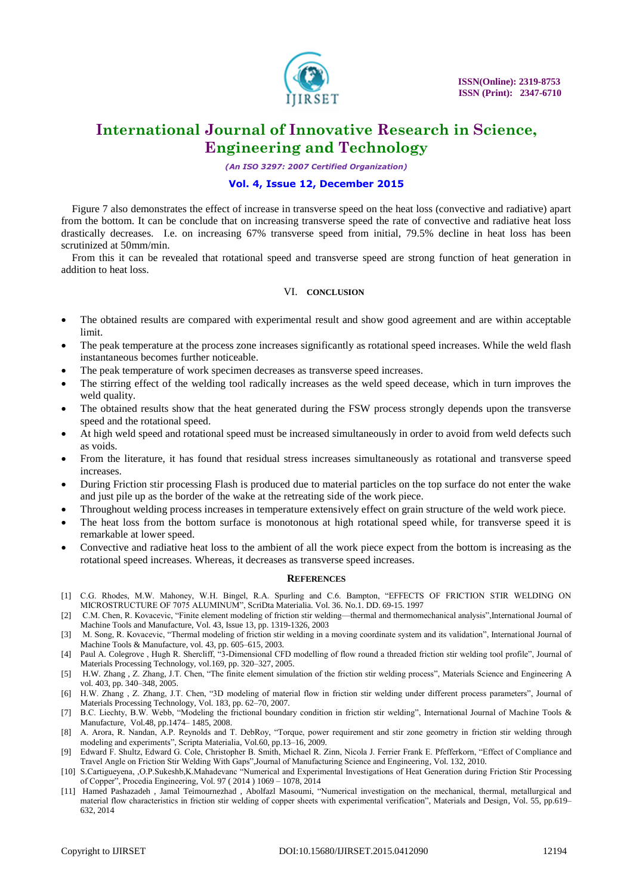

*(An ISO 3297: 2007 Certified Organization)*

#### **Vol. 4, Issue 12, December 2015**

Figure 7 also demonstrates the effect of increase in transverse speed on the heat loss (convective and radiative) apart from the bottom. It can be conclude that on increasing transverse speed the rate of convective and radiative heat loss drastically decreases. I.e. on increasing 67% transverse speed from initial, 79.5% decline in heat loss has been scrutinized at 50mm/min.

From this it can be revealed that rotational speed and transverse speed are strong function of heat generation in addition to heat loss.

#### VI. **CONCLUSION**

- The obtained results are compared with experimental result and show good agreement and are within acceptable limit.
- The peak temperature at the process zone increases significantly as rotational speed increases. While the weld flash instantaneous becomes further noticeable.
- The peak temperature of work specimen decreases as transverse speed increases.
- The stirring effect of the welding tool radically increases as the weld speed decease, which in turn improves the weld quality.
- The obtained results show that the heat generated during the FSW process strongly depends upon the transverse speed and the rotational speed.
- At high weld speed and rotational speed must be increased simultaneously in order to avoid from weld defects such as voids.
- From the literature, it has found that residual stress increases simultaneously as rotational and transverse speed increases.
- During Friction stir processing Flash is produced due to material particles on the top surface do not enter the wake and just pile up as the border of the wake at the retreating side of the work piece.
- Throughout welding process increases in temperature extensively effect on grain structure of the weld work piece.
- The heat loss from the bottom surface is monotonous at high rotational speed while, for transverse speed it is remarkable at lower speed.
- Convective and radiative heat loss to the ambient of all the work piece expect from the bottom is increasing as the rotational speed increases. Whereas, it decreases as transverse speed increases.

#### **REFERENCES**

- [1] C.G. Rhodes, M.W. Mahoney, W.H. Bingel, R.A. Spurling and C.6. Bampton, "EFFECTS OF FRICTION STIR WELDING ON MICROSTRUCTURE OF 7075 ALUMINUM‖, ScriDta Materialia. Vol. 36. No.1. DD. 69-15. 1997
- [2] C.M. Chen, R. Kovacevic, "Finite element modeling of friction stir welding—thermal and thermomechanical analysis",International Journal of Machine Tools and Manufacture, Vol. 43, Issue 13, pp. 1319-1326, 2003
- [3] M. Song, R. Kovacevic, "Thermal modeling of friction stir welding in a moving coordinate system and its validation", International Journal of Machine Tools & Manufacture, vol. 43, pp. 605–615, 2003.
- [4] Paul A. Colegrove, Hugh R. Shercliff, "3-Dimensional CFD modelling of flow round a threaded friction stir welding tool profile", Journal of Materials Processing Technology, vol.169, pp. 320–327, 2005.
- [5] H.W. Zhang, Z. Zhang, J.T. Chen, "The finite element simulation of the friction stir welding process", Materials Science and Engineering A vol. 403, pp. 340-348, 2005.
- [6] H.W. Zhang , Z. Zhang, J.T. Chen, "3D modeling of material flow in friction stir welding under different process parameters", Journal of Materials Processing Technology, Vol. 183, pp. 62–70, 2007.
- [7] B.C. Liechty, B.W. Webb, "Modeling the frictional boundary condition in friction stir welding", International Journal of Machine Tools & Manufacture, Vol.48, pp.1474– 1485, 2008.
- [8] A. Arora, R. Nandan, A.P. Reynolds and T. DebRoy, "Torque, power requirement and stir zone geometry in friction stir welding through modeling and experiments", Scripta Materialia, Vol.60, pp.13–16, 2009.
- [9] Edward F. Shultz, Edward G. Cole, Christopher B. Smith, Michael R. Zinn, Nicola J. Ferrier Frank E. Pfefferkorn, "Effect of Compliance and Travel Angle on Friction Stir Welding With Gaps",Journal of Manufacturing Science and Engineering, Vol. 132, 2010.
- [10] S.Cartigueyena, ,O.P.Sukeshb,K.Mahadevanc "Numerical and Experimental Investigations of Heat Generation during Friction Stir Processing of Copper", Procedia Engineering, Vol. 97 (2014) 1069 – 1078, 2014
- [11] Hamed Pashazadeh, Jamal Teimournezhad, Abolfazl Masoumi, "Numerical investigation on the mechanical, thermal, metallurgical and material flow characteristics in friction stir welding of copper sheets with experimental verification", Materials and Design, Vol. 55, pp.619– 632, 2014